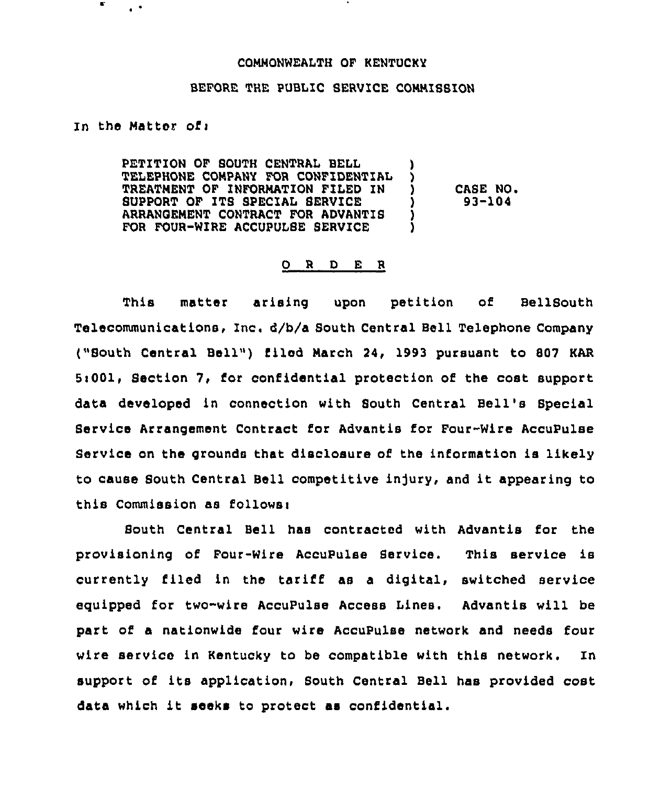## COMMONWEALTH OF KENTUCKY

## BEFORE THE PUBLIC SERVICE COMMISSION

## In the Matter of <sup>i</sup>

 $\epsilon^{-\bullet}$ 

Е

PETITION OF SOUTH CENTRAL BELL TELEPHONE COMPANY FOR CONFIDENTIAL TREATMENT OF INFORMATION FILED IN SUPPORT OF ITS SPECIAL SERVICE ARRANOEMENT CONTRACT FOR ADVANTIS FOR FOUR-WIRE ACCUPULSE SERVICE ) ) ) CASE NO. ) 93-104 ) )

## 0 <sup>R</sup> <sup>D</sup> E <sup>R</sup>

This matter arising upon petition of BellSouth Telecommunications, Inc. d/b/a South Central Bell Telephone Company ("South Central Bell") filed March 24, 1993 pursuant to 807 KAR 5:001, Section 7, for confidential protection of the cost support data developed in connection with South Central Bell's Special Service Arrangement Contract for Advantis for Four-Wire AccuPulse Service on the grounds that disclosure of the information is likely to cause South Central Bell competitive injury, and it appearing to this Commission as follows:

South Central Bell has contracted with Advantis for the provisioning of Pour-Wire AccuPulse Service. This service is currently filed in the tariff as <sup>a</sup> digital, switched service equipped for two-wire AccuPulse Access Lines. Advantis will be part of a nationwide four wire AccuPulse network and needs four wire service in Kentucky to be compatible with this network. In support of its application, South Central Bell has provided cost data which it seeks to protect as confidential.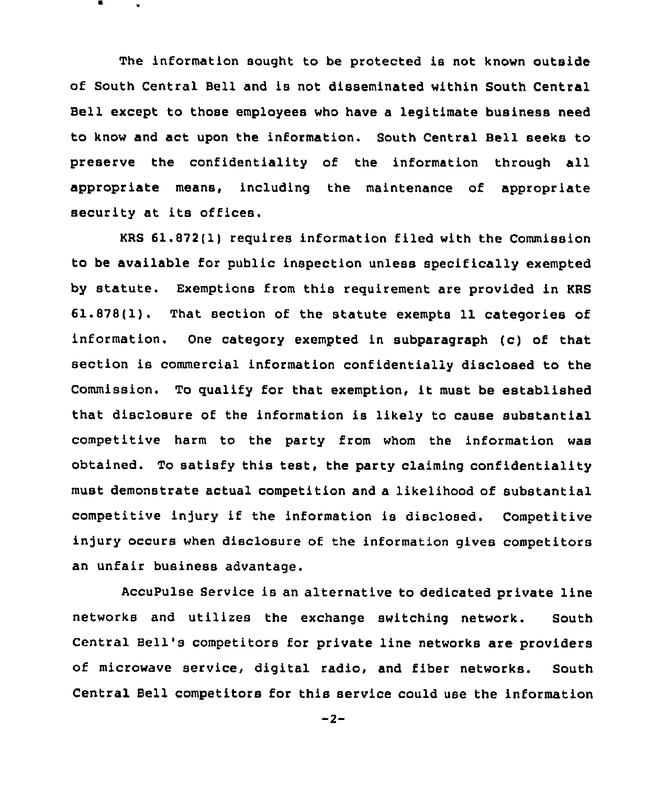The information sought to be protected is not known outside of South Central Bell and is not disseminated within South Central Bell except to those employees who have a legitimate business need to know and act upon the information. South Central Bell seeks to preserve the confidentiality of the information through all appropriate means, including the maintenance of appropriate security at its offices.

KRS 61.872(1) requires information filed with the Commission to be available for public inspection unless specifically exempted by statute. Exemptions from this requirement are provided in KRS 61.878(1}. That section of the statute exempts 11 categories of information. One category exempted in subparagraph (c) of that section is commercial information confidentially disclosed to the Commission. To qualify for that exemption, it must be established that disclosure of the information is likely to cause substantial competitive harm to the party from whom the information was obtained. To satisfy this test, the party claiming confidentiality must demonstrate actual competition and a likelihood of substantial competitive in)ury if the information is disclosed. Competitive injury occurs when disclosure of the information gives competitors an unfair business advantage.

AccuPulse Service is an alternative to dedicated private line networks and utilizes the exchange switching network. South Central Bell's competitors for private line networks are providers of microwave service, digital radio, and fiber networks. South Central Bell competitors for this service could use the information

 $-2-$